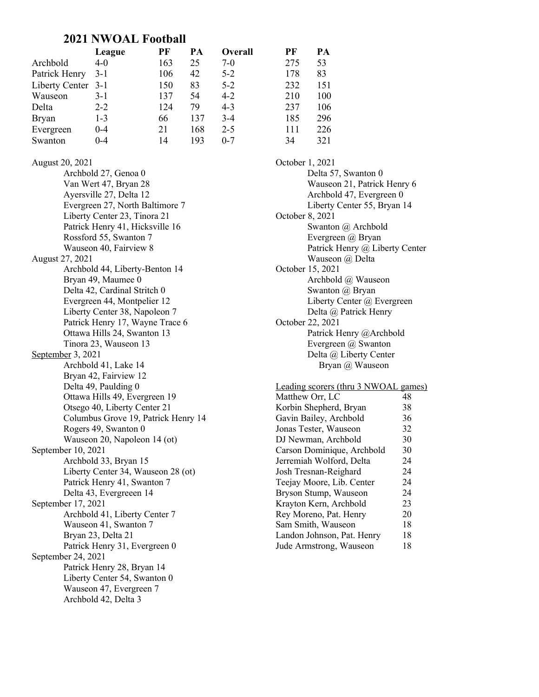### 2021 NWOAL Football

|                    | League  | PF  | PА  | <b>Overall</b> | PF  | PA  |
|--------------------|---------|-----|-----|----------------|-----|-----|
| Archbold           | $4-0$   | 163 | 25  | $7-0$          | 275 | 53  |
| Patrick Henry      | 3-1     | 106 | 42  | $5 - 2$        | 178 | 83  |
| Liberty Center 3-1 |         | 150 | 83  | $5-2$          | 232 | 151 |
| Wauseon            | $3-1$   | 137 | 54  | $4 - 2$        | 210 | 100 |
| Delta              | $2 - 2$ | 124 | 79  | $4 - 3$        | 237 | 106 |
| <b>Bryan</b>       | $1 - 3$ | 66  | 137 | $3-4$          | 185 | 296 |
| Evergreen          | $0 - 4$ | 21  | 168 | $2 - 5$        | 111 | 226 |
| Swanton            | 0-4     | 14  | 193 | $0 - 7$        | 34  | 321 |

#### August 20, 2021

Archbold 27, Genoa 0 Van Wert 47, Bryan 28 Ayersville 27, Delta 12 Evergreen 27, North Baltimore 7 Liberty Center 23, Tinora 21 Patrick Henry 41, Hicksville 16 Rossford 55, Swanton 7 Wauseon 40, Fairview 8 August 27, 2021 Archbold 44, Liberty-Benton 14 Bryan 49, Maumee 0 Delta 42, Cardinal Stritch 0 Evergreen 44, Montpelier 12 Liberty Center 38, Napoleon 7 Patrick Henry 17, Wayne Trace 6 Ottawa Hills 24, Swanton 13 Tinora 23, Wauseon 13 September 3, 2021 Archbold 41, Lake 14 Bryan 42, Fairview 12 Delta 49, Paulding 0 Ottawa Hills 49, Evergreen 19 Otsego 40, Liberty Center 21 Columbus Grove 19, Patrick Henry 14 Rogers 49, Swanton 0 Wauseon 20, Napoleon 14 (ot) September 10, 2021 Archbold 33, Bryan 15 Liberty Center 34, Wauseon 28 (ot) Patrick Henry 41, Swanton 7 Delta 43, Evergreeen 14 September 17, 2021 Archbold 41, Liberty Center 7 Wauseon 41, Swanton 7 Bryan 23, Delta 21 Patrick Henry 31, Evergreen 0 September 24, 2021 Patrick Henry 28, Bryan 14 Liberty Center 54, Swanton 0 Wauseon 47, Evergreen 7 Archbold 42, Delta 3

October 1, 2021 Delta 57, Swanton 0 Wauseon 21, Patrick Henry 6 Archbold 47, Evergreen 0 Liberty Center 55, Bryan 14 October 8, 2021 Swanton @ Archbold Evergreen @ Bryan Patrick Henry @ Liberty Center Wauseon @ Delta October 15, 2021 Archbold @ Wauseon Swanton @ Bryan Liberty Center @ Evergreen Delta @ Patrick Henry October 22, 2021 Patrick Henry @Archbold Evergreen @ Swanton Delta @ Liberty Center Bryan @ Wauseon

# Leading scorers (thru 3 NWOAL games)

| Matthew Orr, LC            | 48 |
|----------------------------|----|
| Korbin Shepherd, Bryan     | 38 |
| Gavin Bailey, Archbold     | 36 |
| Jonas Tester, Wauseon      | 32 |
| DJ Newman, Archbold        | 30 |
| Carson Dominique, Archbold | 30 |
| Jerremiah Wolford, Delta   | 24 |
| Josh Tresnan-Reighard      | 24 |
| Teejay Moore, Lib. Center  | 24 |
| Bryson Stump, Wauseon      | 24 |
| Krayton Kern, Archbold     | 23 |
| Rey Moreno, Pat. Henry     | 20 |
| Sam Smith, Wauseon         | 18 |
| Landon Johnson, Pat. Henry | 18 |
| Jude Armstrong, Wauseon    | 18 |
|                            |    |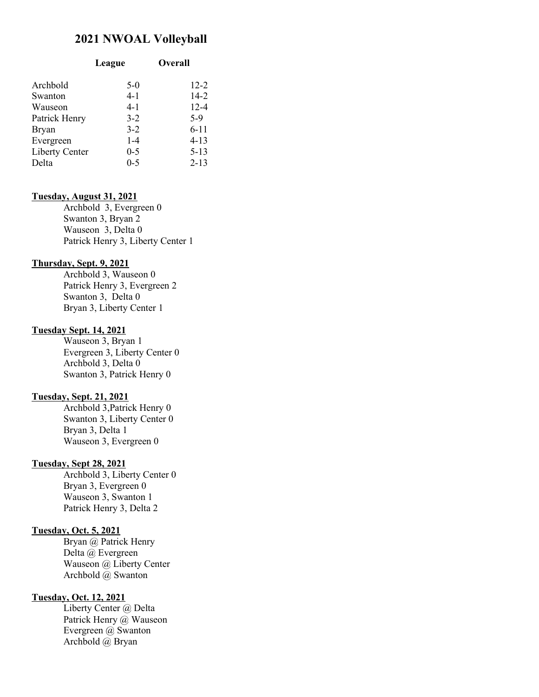## 2021 NWOAL Volleyball

| League  | Overall  |  |
|---------|----------|--|
| $5-0$   | $12 - 2$ |  |
| $4 - 1$ | $14 - 2$ |  |
| 4-1     | $12 - 4$ |  |
| $3-2$   | $5-9$    |  |
| $3-2$   | $6 - 11$ |  |
| $1 - 4$ | $4 - 13$ |  |
| $0 - 5$ | $5 - 13$ |  |
| $0 - 5$ | $2 - 13$ |  |
|         |          |  |

#### Tuesday, August 31, 2021

 Archbold 3, Evergreen 0 Swanton 3, Bryan 2 Wauseon 3, Delta 0 Patrick Henry 3, Liberty Center 1

#### Thursday, Sept. 9, 2021

Archbold 3, Wauseon 0 Patrick Henry 3, Evergreen 2 Swanton 3, Delta 0 Bryan 3, Liberty Center 1

#### Tuesday Sept. 14, 2021

Wauseon 3, Bryan 1 Evergreen 3, Liberty Center 0 Archbold 3, Delta 0 Swanton 3, Patrick Henry 0

#### Tuesday, Sept. 21, 2021

Archbold 3,Patrick Henry 0 Swanton 3, Liberty Center 0 Bryan 3, Delta 1 Wauseon 3, Evergreen 0

#### Tuesday, Sept 28, 2021

Archbold 3, Liberty Center 0 Bryan 3, Evergreen 0 Wauseon 3, Swanton 1 Patrick Henry 3, Delta 2

#### Tuesday, Oct. 5, 2021

Bryan @ Patrick Henry Delta @ Evergreen Wauseon @ Liberty Center Archbold @ Swanton

#### Tuesday, Oct. 12, 2021

Liberty Center @ Delta Patrick Henry @ Wauseon Evergreen @ Swanton Archbold @ Bryan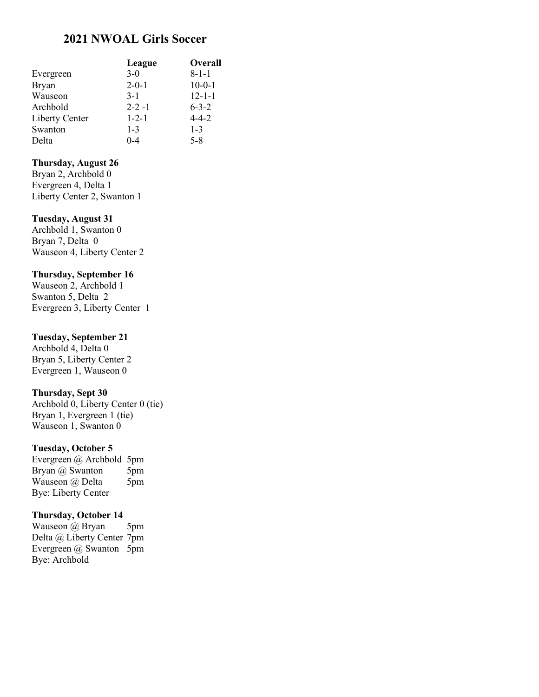# 2021 NWOAL Girls Soccer

|                | League      | <b>Overall</b> |
|----------------|-------------|----------------|
| Evergreen      | $3-0$       | $8 - 1 - 1$    |
| Bryan          | $2 - 0 - 1$ | $10-0-1$       |
| Wauseon        | $3-1$       | $12 - 1 - 1$   |
| Archbold       | $2 - 2 - 1$ | $6 - 3 - 2$    |
| Liberty Center | $1 - 2 - 1$ | $4 - 4 - 2$    |
| Swanton        | $1 - 3$     | $1 - 3$        |
| Delta          | $0 - 4$     | $5 - 8$        |

### Thursday, August 26

Bryan 2, Archbold 0 Evergreen 4, Delta 1 Liberty Center 2, Swanton 1

#### Tuesday, August 31

Archbold 1, Swanton 0 Bryan 7, Delta 0 Wauseon 4, Liberty Center 2

#### Thursday, September 16

Wauseon 2, Archbold 1 Swanton 5, Delta 2 Evergreen 3, Liberty Center 1

#### Tuesday, September 21

Archbold 4, Delta 0 Bryan 5, Liberty Center 2 Evergreen 1, Wauseon 0

### Thursday, Sept 30

Archbold 0, Liberty Center 0 (tie) Bryan 1, Evergreen 1 (tie) Wauseon 1, Swanton 0

#### Tuesday, October 5

Evergreen @ Archbold 5pm Bryan @ Swanton 5pm Wauseon @ Delta 5pm Bye: Liberty Center

#### Thursday, October 14

Wauseon @ Bryan 5pm Delta @ Liberty Center 7pm Evergreen @ Swanton 5pm Bye: Archbold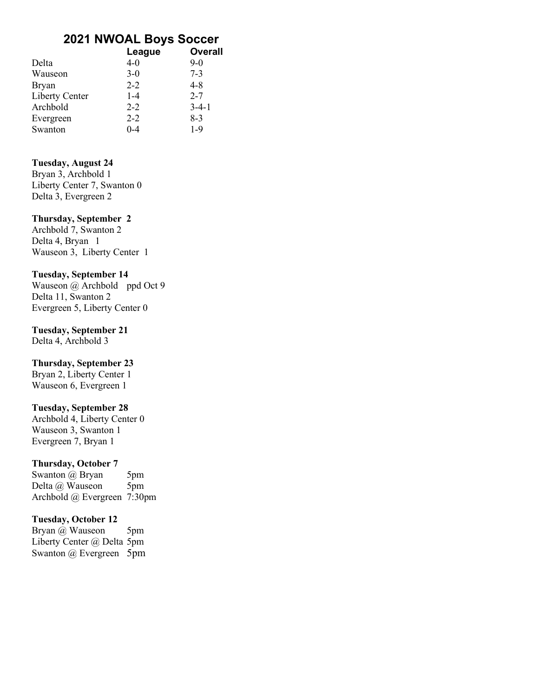# 2021 NWOAL Boys Soccer

| League | <b>Overall</b>                                                          |
|--------|-------------------------------------------------------------------------|
|        | $9-0$                                                                   |
|        | $7 - 3$                                                                 |
|        | $4 - 8$                                                                 |
|        | $2 - 7$                                                                 |
|        | $3-4-1$                                                                 |
|        | $8-3$                                                                   |
|        | $1-9$                                                                   |
|        | $4 - 0$<br>$3-0$<br>$2 - 2$<br>$1 - 4$<br>$2 - 2$<br>$2 - 2$<br>$0 - 4$ |

## Tuesday, August 24

Bryan 3, Archbold 1 Liberty Center 7, Swanton 0 Delta 3, Evergreen 2

## Thursday, September 2

Archbold 7, Swanton 2 Delta 4, Bryan 1 Wauseon 3, Liberty Center 1

## Tuesday, September 14

Wauseon @ Archbold ppd Oct 9 Delta 11, Swanton 2 Evergreen 5, Liberty Center 0

## Tuesday, September 21

Delta 4, Archbold 3

# Thursday, September 23

Bryan 2, Liberty Center 1 Wauseon 6, Evergreen 1

### Tuesday, September 28

Archbold 4, Liberty Center 0 Wauseon 3, Swanton 1 Evergreen 7, Bryan 1

# Thursday, October 7

Swanton @ Bryan 5pm Delta @ Wauseon 5pm Archbold @ Evergreen 7:30pm

# Tuesday, October 12

Bryan @ Wauseon 5pm Liberty Center @ Delta 5pm Swanton @ Evergreen 5pm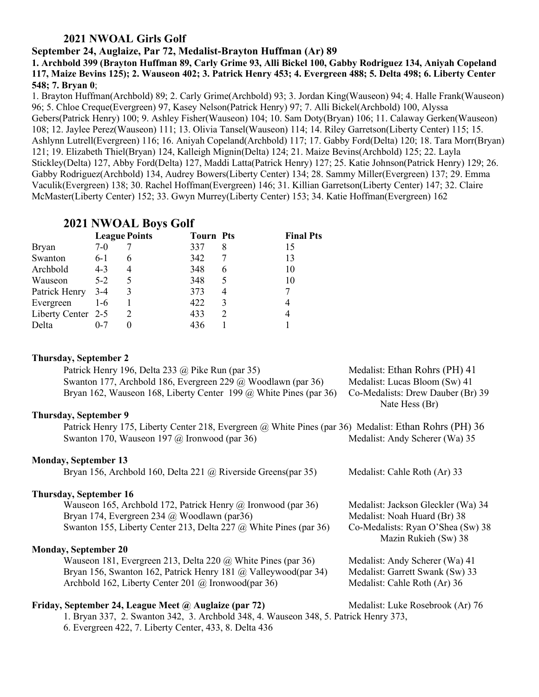# 2021 NWOAL Girls Golf

### September 24, Auglaize, Par 72, Medalist-Brayton Huffman (Ar) 89

1. Archbold 399 (Brayton Huffman 89, Carly Grime 93, Alli Bickel 100, Gabby Rodriguez 134, Aniyah Copeland 117, Maize Bevins 125); 2. Wauseon 402; 3. Patrick Henry 453; 4. Evergreen 488; 5. Delta 498; 6. Liberty Center 548; 7. Bryan 0;

1. Brayton Huffman(Archbold) 89; 2. Carly Grime(Archbold) 93; 3. Jordan King(Wauseon) 94; 4. Halle Frank(Wauseon) 96; 5. Chloe Creque(Evergreen) 97, Kasey Nelson(Patrick Henry) 97; 7. Alli Bickel(Archbold) 100, Alyssa Gebers(Patrick Henry) 100; 9. Ashley Fisher(Wauseon) 104; 10. Sam Doty(Bryan) 106; 11. Calaway Gerken(Wauseon) 108; 12. Jaylee Perez(Wauseon) 111; 13. Olivia Tansel(Wauseon) 114; 14. Riley Garretson(Liberty Center) 115; 15. Ashlynn Lutrell(Evergreen) 116; 16. Aniyah Copeland(Archbold) 117; 17. Gabby Ford(Delta) 120; 18. Tara Morr(Bryan) 121; 19. Elizabeth Thiel(Bryan) 124, Kalleigh Mignin(Delta) 124; 21. Maize Bevins(Archbold) 125; 22. Layla Stickley(Delta) 127, Abby Ford(Delta) 127, Maddi Latta(Patrick Henry) 127; 25. Katie Johnson(Patrick Henry) 129; 26. Gabby Rodriguez(Archbold) 134, Audrey Bowers(Liberty Center) 134; 28. Sammy Miller(Evergreen) 137; 29. Emma Vaculik(Evergreen) 138; 30. Rachel Hoffman(Evergreen) 146; 31. Killian Garretson(Liberty Center) 147; 32. Claire McMaster(Liberty Center) 152; 33. Gwyn Murrey(Liberty Center) 153; 34. Katie Hoffman(Evergreen) 162

# 2021 NWOAL Boys Golf

|                    | <b>League Points</b> |   | <b>Tourn Pts</b> |   | <b>Final Pts</b> |
|--------------------|----------------------|---|------------------|---|------------------|
| Bryan              | $7-0$                |   | 337              | 8 | 15               |
| Swanton            | $6-1$                | 6 | 342              |   | 13               |
| Archbold           | $4 - 3$              | 4 | 348              | 6 | 10               |
| Wauseon            | $5 - 2$              | 5 | 348              |   | 10               |
| Patrick Henry      | $3-4$                | 3 | 373              | 4 |                  |
| Evergreen          | $1-6$                |   | 422              | 3 |                  |
| Liberty Center 2-5 |                      | 2 | 433              |   |                  |
| Delta              | $0 - 7$              |   | 436              |   |                  |

# Thursday, September 2 Patrick Henry 196, Delta 233 @ Pike Run (par 35) Medalist: Ethan Rohrs (PH) 41 Swanton 177, Archbold 186, Evergreen 229 @ Woodlawn (par 36) Medalist: Lucas Bloom (Sw) 41 Bryan 162, Wauseon 168, Liberty Center 199 @ White Pines (par 36) Co-Medalists: Drew Dauber (Br) 39 Nate Hess (Br) Thursday, September 9 Patrick Henry 175, Liberty Center 218, Evergreen @ White Pines (par 36) Medalist: Ethan Rohrs (PH) 36 Swanton 170, Wauseon 197 @ Ironwood (par 36) Medalist: Andy Scherer (Wa) 35 Monday, September 13 Bryan 156, Archbold 160, Delta 221 @ Riverside Greens(par 35) Medalist: Cahle Roth (Ar) 33 Thursday, September 16 Wauseon 165, Archbold 172, Patrick Henry @ Ironwood (par 36) Medalist: Jackson Gleckler (Wa) 34 Bryan 174, Evergreen 234 @ Woodlawn (par36) Medalist: Noah Huard (Br) 38 Swanton 155, Liberty Center 213, Delta 227 @ White Pines (par 36) Co-Medalists: Ryan O'Shea (Sw) 38 Mazin Rukieh (Sw) 38 Monday, September 20 Wauseon 181, Evergreen 213, Delta 220 @ White Pines (par 36) Medalist: Andy Scherer (Wa) 41 Bryan 156, Swanton 162, Patrick Henry 181 @ Valleywood(par 34) Medalist: Garrett Swank (Sw) 33 Archbold 162, Liberty Center 201 @ Ironwood(par 36) Medalist: Cahle Roth (Ar) 36 Friday, September 24, League Meet @ Auglaize (par 72) Medalist: Luke Rosebrook (Ar) 76 1. Bryan 337, 2. Swanton 342, 3. Archbold 348, 4. Wauseon 348, 5. Patrick Henry 373, 6. Evergreen 422, 7. Liberty Center, 433, 8. Delta 436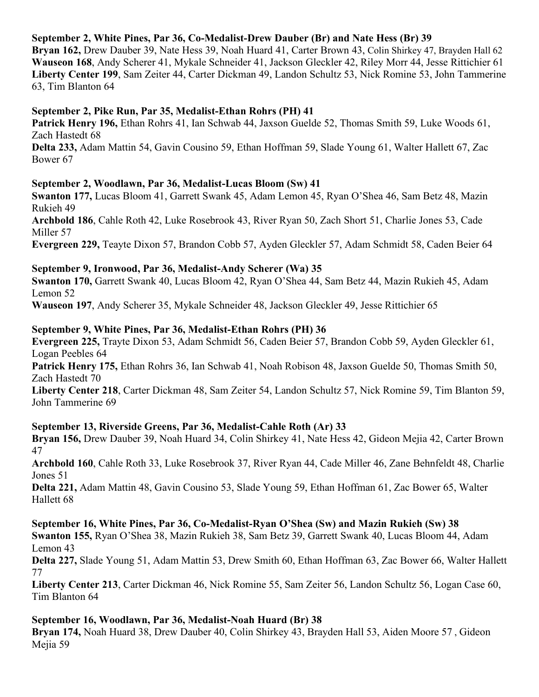# September 2, White Pines, Par 36, Co-Medalist-Drew Dauber (Br) and Nate Hess (Br) 39

Bryan 162, Drew Dauber 39, Nate Hess 39, Noah Huard 41, Carter Brown 43, Colin Shirkey 47, Brayden Hall 62 Wauseon 168, Andy Scherer 41, Mykale Schneider 41, Jackson Gleckler 42, Riley Morr 44, Jesse Rittichier 61 Liberty Center 199, Sam Zeiter 44, Carter Dickman 49, Landon Schultz 53, Nick Romine 53, John Tammerine 63, Tim Blanton 64

## September 2, Pike Run, Par 35, Medalist-Ethan Rohrs (PH) 41

Patrick Henry 196, Ethan Rohrs 41, Ian Schwab 44, Jaxson Guelde 52, Thomas Smith 59, Luke Woods 61, Zach Hastedt 68

Delta 233, Adam Mattin 54, Gavin Cousino 59, Ethan Hoffman 59, Slade Young 61, Walter Hallett 67, Zac Bower 67

### September 2, Woodlawn, Par 36, Medalist-Lucas Bloom (Sw) 41

Swanton 177, Lucas Bloom 41, Garrett Swank 45, Adam Lemon 45, Ryan O'Shea 46, Sam Betz 48, Mazin Rukieh 49

Archbold 186, Cahle Roth 42, Luke Rosebrook 43, River Ryan 50, Zach Short 51, Charlie Jones 53, Cade Miller 57

Evergreen 229, Teayte Dixon 57, Brandon Cobb 57, Ayden Gleckler 57, Adam Schmidt 58, Caden Beier 64

## September 9, Ironwood, Par 36, Medalist-Andy Scherer (Wa) 35

Swanton 170, Garrett Swank 40, Lucas Bloom 42, Ryan O'Shea 44, Sam Betz 44, Mazin Rukieh 45, Adam Lemon 52

Wauseon 197, Andy Scherer 35, Mykale Schneider 48, Jackson Gleckler 49, Jesse Rittichier 65

## September 9, White Pines, Par 36, Medalist-Ethan Rohrs (PH) 36

Evergreen 225, Trayte Dixon 53, Adam Schmidt 56, Caden Beier 57, Brandon Cobb 59, Ayden Gleckler 61, Logan Peebles 64

Patrick Henry 175, Ethan Rohrs 36, Ian Schwab 41, Noah Robison 48, Jaxson Guelde 50, Thomas Smith 50, Zach Hastedt 70

Liberty Center 218, Carter Dickman 48, Sam Zeiter 54, Landon Schultz 57, Nick Romine 59, Tim Blanton 59, John Tammerine 69

# September 13, Riverside Greens, Par 36, Medalist-Cahle Roth (Ar) 33

Bryan 156, Drew Dauber 39, Noah Huard 34, Colin Shirkey 41, Nate Hess 42, Gideon Mejia 42, Carter Brown 47

Archbold 160, Cahle Roth 33, Luke Rosebrook 37, River Ryan 44, Cade Miller 46, Zane Behnfeldt 48, Charlie Jones 51

Delta 221, Adam Mattin 48, Gavin Cousino 53, Slade Young 59, Ethan Hoffman 61, Zac Bower 65, Walter Hallett 68

September 16, White Pines, Par 36, Co-Medalist-Ryan O'Shea (Sw) and Mazin Rukieh (Sw) 38 Swanton 155, Ryan O'Shea 38, Mazin Rukieh 38, Sam Betz 39, Garrett Swank 40, Lucas Bloom 44, Adam Lemon 43

Delta 227, Slade Young 51, Adam Mattin 53, Drew Smith 60, Ethan Hoffman 63, Zac Bower 66, Walter Hallett 77

Liberty Center 213, Carter Dickman 46, Nick Romine 55, Sam Zeiter 56, Landon Schultz 56, Logan Case 60, Tim Blanton 64

## September 16, Woodlawn, Par 36, Medalist-Noah Huard (Br) 38

Bryan 174, Noah Huard 38, Drew Dauber 40, Colin Shirkey 43, Brayden Hall 53, Aiden Moore 57 , Gideon Mejia 59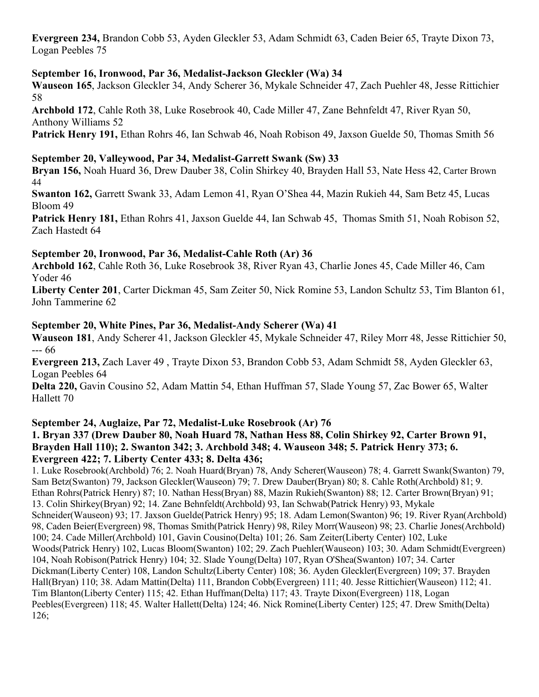Evergreen 234, Brandon Cobb 53, Ayden Gleckler 53, Adam Schmidt 63, Caden Beier 65, Trayte Dixon 73, Logan Peebles 75

# September 16, Ironwood, Par 36, Medalist-Jackson Gleckler (Wa) 34

Wauseon 165, Jackson Gleckler 34, Andy Scherer 36, Mykale Schneider 47, Zach Puehler 48, Jesse Rittichier 58

Archbold 172, Cahle Roth 38, Luke Rosebrook 40, Cade Miller 47, Zane Behnfeldt 47, River Ryan 50, Anthony Williams 52

Patrick Henry 191, Ethan Rohrs 46, Ian Schwab 46, Noah Robison 49, Jaxson Guelde 50, Thomas Smith 56

## September 20, Valleywood, Par 34, Medalist-Garrett Swank (Sw) 33

Bryan 156, Noah Huard 36, Drew Dauber 38, Colin Shirkey 40, Brayden Hall 53, Nate Hess 42, Carter Brown 44

Swanton 162, Garrett Swank 33, Adam Lemon 41, Ryan O'Shea 44, Mazin Rukieh 44, Sam Betz 45, Lucas Bloom 49

Patrick Henry 181, Ethan Rohrs 41, Jaxson Guelde 44, Ian Schwab 45, Thomas Smith 51, Noah Robison 52, Zach Hastedt 64

# September 20, Ironwood, Par 36, Medalist-Cahle Roth (Ar) 36

Archbold 162, Cahle Roth 36, Luke Rosebrook 38, River Ryan 43, Charlie Jones 45, Cade Miller 46, Cam Yoder 46

Liberty Center 201, Carter Dickman 45, Sam Zeiter 50, Nick Romine 53, Landon Schultz 53, Tim Blanton 61, John Tammerine 62

# September 20, White Pines, Par 36, Medalist-Andy Scherer (Wa) 41

Wauseon 181, Andy Scherer 41, Jackson Gleckler 45, Mykale Schneider 47, Riley Morr 48, Jesse Rittichier 50, --- 66

Evergreen 213, Zach Laver 49 , Trayte Dixon 53, Brandon Cobb 53, Adam Schmidt 58, Ayden Gleckler 63, Logan Peebles 64

Delta 220, Gavin Cousino 52, Adam Mattin 54, Ethan Huffman 57, Slade Young 57, Zac Bower 65, Walter Hallett 70

# September 24, Auglaize, Par 72, Medalist-Luke Rosebrook (Ar) 76

## 1. Bryan 337 (Drew Dauber 80, Noah Huard 78, Nathan Hess 88, Colin Shirkey 92, Carter Brown 91, Brayden Hall 110); 2. Swanton 342; 3. Archbold 348; 4. Wauseon 348; 5. Patrick Henry 373; 6. Evergreen 422; 7. Liberty Center 433; 8. Delta 436;

1. Luke Rosebrook(Archbold) 76; 2. Noah Huard(Bryan) 78, Andy Scherer(Wauseon) 78; 4. Garrett Swank(Swanton) 79, Sam Betz(Swanton) 79, Jackson Gleckler(Wauseon) 79; 7. Drew Dauber(Bryan) 80; 8. Cahle Roth(Archbold) 81; 9. Ethan Rohrs(Patrick Henry) 87; 10. Nathan Hess(Bryan) 88, Mazin Rukieh(Swanton) 88; 12. Carter Brown(Bryan) 91; 13. Colin Shirkey(Bryan) 92; 14. Zane Behnfeldt(Archbold) 93, Ian Schwab(Patrick Henry) 93, Mykale Schneider(Wauseon) 93; 17. Jaxson Guelde(Patrick Henry) 95; 18. Adam Lemon(Swanton) 96; 19. River Ryan(Archbold) 98, Caden Beier(Evergreen) 98, Thomas Smith(Patrick Henry) 98, Riley Morr(Wauseon) 98; 23. Charlie Jones(Archbold) 100; 24. Cade Miller(Archbold) 101, Gavin Cousino(Delta) 101; 26. Sam Zeiter(Liberty Center) 102, Luke Woods(Patrick Henry) 102, Lucas Bloom(Swanton) 102; 29. Zach Puehler(Wauseon) 103; 30. Adam Schmidt(Evergreen) 104, Noah Robison(Patrick Henry) 104; 32. Slade Young(Delta) 107, Ryan O'Shea(Swanton) 107; 34. Carter Dickman(Liberty Center) 108, Landon Schultz(Liberty Center) 108; 36. Ayden Gleckler(Evergreen) 109; 37. Brayden Hall(Bryan) 110; 38. Adam Mattin(Delta) 111, Brandon Cobb(Evergreen) 111; 40. Jesse Rittichier(Wauseon) 112; 41. Tim Blanton(Liberty Center) 115; 42. Ethan Huffman(Delta) 117; 43. Trayte Dixon(Evergreen) 118, Logan Peebles(Evergreen) 118; 45. Walter Hallett(Delta) 124; 46. Nick Romine(Liberty Center) 125; 47. Drew Smith(Delta) 126;